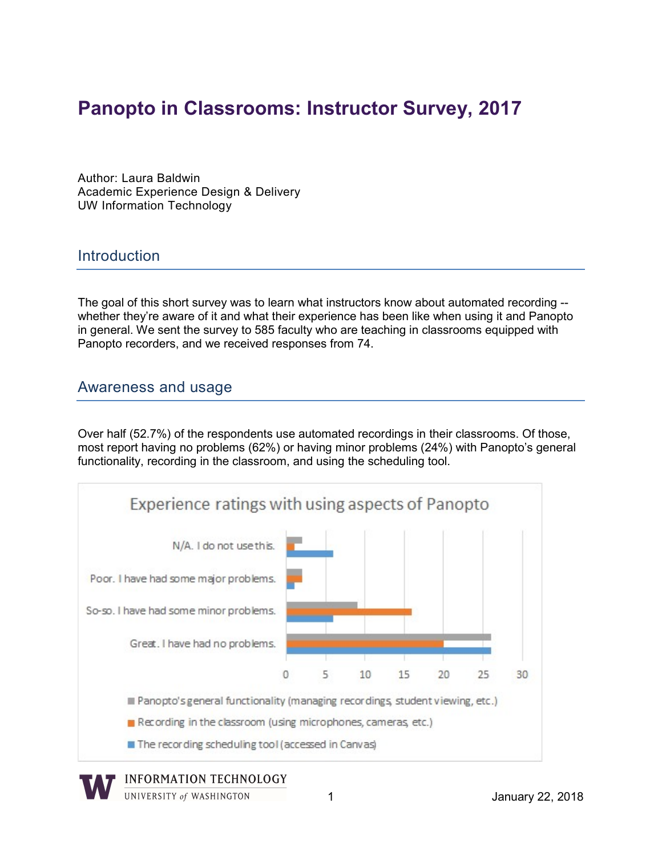# Panopto in Classrooms: Instructor Survey, 2017

 Author: Laura Baldwin Academic Experience Design & Delivery UW Information Technology

#### **Introduction**

 The goal of this short survey was to learn what instructors know about automated recording -- whether they're aware of it and what their experience has been like when using it and Panopto in general. We sent the survey to 585 faculty who are teaching in classrooms equipped with Panopto recorders, and we received responses from 74.

#### Awareness and usage

 Over half (52.7%) of the respondents use automated recordings in their classrooms. Of those, most report having no problems (62%) or having minor problems (24%) with Panopto's general functionality, recording in the classroom, and using the scheduling tool.



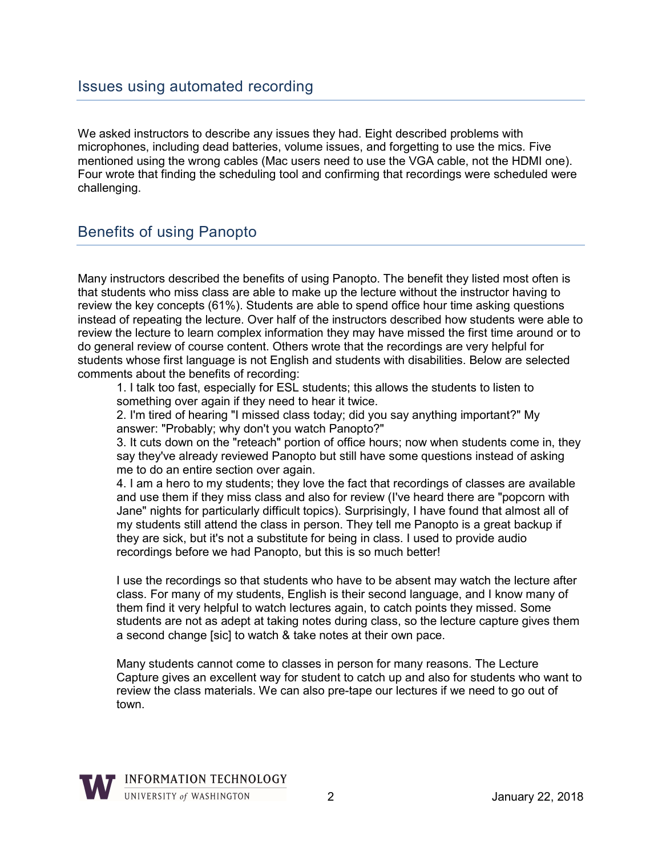We asked instructors to describe any issues they had. Eight described problems with microphones, including dead batteries, volume issues, and forgetting to use the mics. Five mentioned using the wrong cables (Mac users need to use the VGA cable, not the HDMI one). Four wrote that finding the scheduling tool and confirming that recordings were scheduled were challenging.

## Benefits of using Panopto

 Many instructors described the benefits of using Panopto. The benefit they listed most often is that students who miss class are able to make up the lecture without the instructor having to review the key concepts (61%). Students are able to spend office hour time asking questions instead of repeating the lecture. Over half of the instructors described how students were able to review the lecture to learn complex information they may have missed the first time around or to do general review of course content. Others wrote that the recordings are very helpful for students whose first language is not English and students with disabilities. Below are selected comments about the benefits of recording:

 1. I talk too fast, especially for ESL students; this allows the students to listen to something over again if they need to hear it twice.

 2. I'm tired of hearing "I missed class today; did you say anything important?" My answer: "Probably; why don't you watch Panopto?"

 3. It cuts down on the "reteach" portion of office hours; now when students come in, they say they've already reviewed Panopto but still have some questions instead of asking me to do an entire section over again.

 4. I am a hero to my students; they love the fact that recordings of classes are available and use them if they miss class and also for review (I've heard there are "popcorn with Jane" nights for particularly difficult topics). Surprisingly, I have found that almost all of my students still attend the class in person. They tell me Panopto is a great backup if they are sick, but it's not a substitute for being in class. I used to provide audio recordings before we had Panopto, but this is so much better!

 I use the recordings so that students who have to be absent may watch the lecture after class. For many of my students, English is their second language, and I know many of them find it very helpful to watch lectures again, to catch points they missed. Some students are not as adept at taking notes during class, so the lecture capture gives them a second change [sic] to watch & take notes at their own pace.

 Many students cannot come to classes in person for many reasons. The Lecture Capture gives an excellent way for student to catch up and also for students who want to review the class materials. We can also pre-tape our lectures if we need to go out of town.